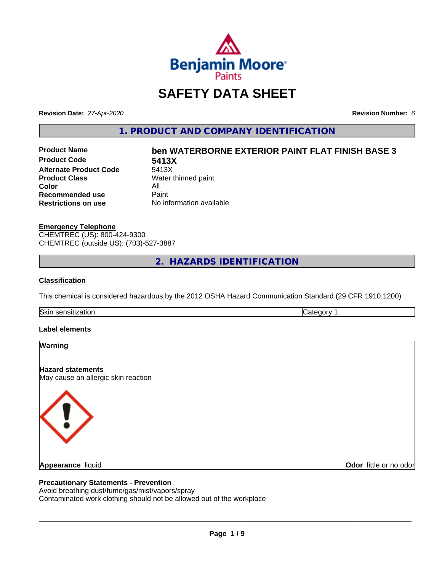

## **SAFETY DATA SHEET**

**Revision Date:** *27-Apr-2020* **Revision Number:** *6*

**1. PRODUCT AND COMPANY IDENTIFICATION**

**Product Code 5413X Alternate Product Code**<br>Product Class **Color** All<br> **Recommended use** Paint **Recommended use**<br>Restrictions on use

# **Product Name ben WATERBORNE EXTERIOR PAINT FLAT FINISH BASE 3 Water thinned paint**

**Restrictions on use** No information available

**Emergency Telephone** CHEMTREC (US): 800-424-9300 CHEMTREC (outside US): (703)-527-3887

**2. HAZARDS IDENTIFICATION**

#### **Classification**

This chemical is considered hazardous by the 2012 OSHA Hazard Communication Standard (29 CFR 1910.1200)

Skin sensitization **Category 1** 

#### **Label elements**



#### **Precautionary Statements - Prevention**

Avoid breathing dust/fume/gas/mist/vapors/spray Contaminated work clothing should not be allowed out of the workplace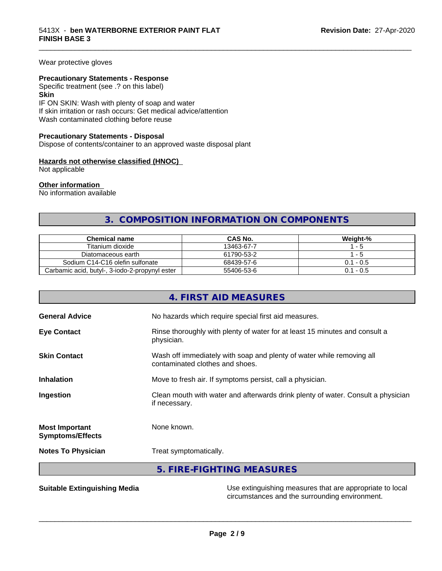Wear protective gloves

#### **Precautionary Statements - Response**

Specific treatment (see .? on this label)

**Skin**

IF ON SKIN: Wash with plenty of soap and water If skin irritation or rash occurs: Get medical advice/attention Wash contaminated clothing before reuse

#### **Precautionary Statements - Disposal**

Dispose of contents/container to an approved waste disposal plant

#### **Hazards not otherwise classified (HNOC)**

Not applicable

#### **Other information**

No information available

## **3. COMPOSITION INFORMATION ON COMPONENTS**

\_\_\_\_\_\_\_\_\_\_\_\_\_\_\_\_\_\_\_\_\_\_\_\_\_\_\_\_\_\_\_\_\_\_\_\_\_\_\_\_\_\_\_\_\_\_\_\_\_\_\_\_\_\_\_\_\_\_\_\_\_\_\_\_\_\_\_\_\_\_\_\_\_\_\_\_\_\_\_\_\_\_\_\_\_\_\_\_\_\_\_\_\_

| <b>Chemical name</b>                           | CAS No.    | Weiaht-%    |
|------------------------------------------------|------------|-------------|
| Titanium dioxide                               | 13463-67-7 | - 5         |
| Diatomaceous earth                             | 61790-53-2 | - 5         |
| Sodium C14-C16 olefin sulfonate                | 68439-57-6 | $0.1 - 0.5$ |
| Carbamic acid, butyl-, 3-iodo-2-propynyl ester | 55406-53-6 | $0.1 - 0.5$ |

|                                                  | 4. FIRST AID MEASURES                                                                                    |
|--------------------------------------------------|----------------------------------------------------------------------------------------------------------|
| <b>General Advice</b>                            | No hazards which require special first aid measures.                                                     |
| <b>Eye Contact</b>                               | Rinse thoroughly with plenty of water for at least 15 minutes and consult a<br>physician.                |
| <b>Skin Contact</b>                              | Wash off immediately with soap and plenty of water while removing all<br>contaminated clothes and shoes. |
| <b>Inhalation</b>                                | Move to fresh air. If symptoms persist, call a physician.                                                |
| Ingestion                                        | Clean mouth with water and afterwards drink plenty of water. Consult a physician<br>if necessary.        |
| <b>Most Important</b><br><b>Symptoms/Effects</b> | None known.                                                                                              |
| <b>Notes To Physician</b>                        | Treat symptomatically.                                                                                   |
|                                                  | 5. FIRE-FIGHTING MEASURES                                                                                |

**Suitable Extinguishing Media** Media Use extinguishing measures that are appropriate to local circumstances and the surrounding environment.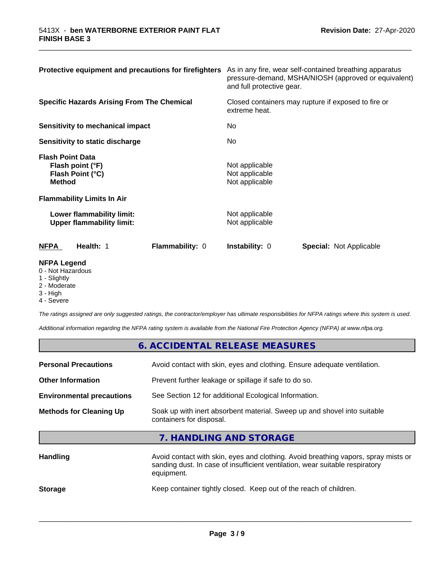| Protective equipment and precautions for firefighters                                                                 | As in any fire, wear self-contained breathing apparatus<br>pressure-demand, MSHA/NIOSH (approved or equivalent)<br>and full protective gear. |  |
|-----------------------------------------------------------------------------------------------------------------------|----------------------------------------------------------------------------------------------------------------------------------------------|--|
| <b>Specific Hazards Arising From The Chemical</b>                                                                     | Closed containers may rupture if exposed to fire or<br>extreme heat.                                                                         |  |
| Sensitivity to mechanical impact                                                                                      | No.<br>No.                                                                                                                                   |  |
| Sensitivity to static discharge                                                                                       |                                                                                                                                              |  |
| <b>Flash Point Data</b><br>Flash point (°F)<br>Flash Point (°C)<br><b>Method</b><br><b>Flammability Limits In Air</b> | Not applicable<br>Not applicable<br>Not applicable                                                                                           |  |
| Lower flammability limit:<br><b>Upper flammability limit:</b>                                                         | Not applicable<br>Not applicable                                                                                                             |  |
| <b>NFPA</b><br>Health: 1<br>Flammability: 0                                                                           | <b>Instability: 0</b><br><b>Special: Not Applicable</b>                                                                                      |  |
| <b>NFPA Legend</b><br>0 - Not Hazardous                                                                               |                                                                                                                                              |  |

\_\_\_\_\_\_\_\_\_\_\_\_\_\_\_\_\_\_\_\_\_\_\_\_\_\_\_\_\_\_\_\_\_\_\_\_\_\_\_\_\_\_\_\_\_\_\_\_\_\_\_\_\_\_\_\_\_\_\_\_\_\_\_\_\_\_\_\_\_\_\_\_\_\_\_\_\_\_\_\_\_\_\_\_\_\_\_\_\_\_\_\_\_

- 
- 1 Slightly
- 2 Moderate
- 3 High

4 - Severe

*The ratings assigned are only suggested ratings, the contractor/employer has ultimate responsibilities for NFPA ratings where this system is used.*

*Additional information regarding the NFPA rating system is available from the National Fire Protection Agency (NFPA) at www.nfpa.org.*

|                                  | 6. ACCIDENTAL RELEASE MEASURES                                                                                                                                                   |  |
|----------------------------------|----------------------------------------------------------------------------------------------------------------------------------------------------------------------------------|--|
| <b>Personal Precautions</b>      | Avoid contact with skin, eyes and clothing. Ensure adequate ventilation.                                                                                                         |  |
| <b>Other Information</b>         | Prevent further leakage or spillage if safe to do so.                                                                                                                            |  |
| <b>Environmental precautions</b> | See Section 12 for additional Ecological Information.                                                                                                                            |  |
| <b>Methods for Cleaning Up</b>   | Soak up with inert absorbent material. Sweep up and shovel into suitable<br>containers for disposal.                                                                             |  |
|                                  | 7. HANDLING AND STORAGE                                                                                                                                                          |  |
| <b>Handling</b>                  | Avoid contact with skin, eyes and clothing. Avoid breathing vapors, spray mists or<br>sanding dust. In case of insufficient ventilation, wear suitable respiratory<br>equipment. |  |
| <b>Storage</b>                   | Keep container tightly closed. Keep out of the reach of children.                                                                                                                |  |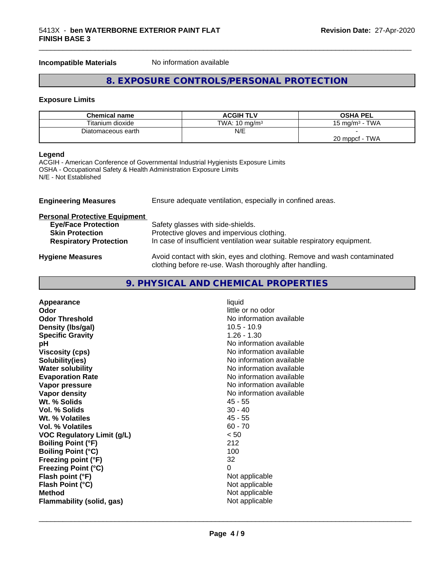#### **Incompatible Materials** No information available

## **8. EXPOSURE CONTROLS/PERSONAL PROTECTION**

\_\_\_\_\_\_\_\_\_\_\_\_\_\_\_\_\_\_\_\_\_\_\_\_\_\_\_\_\_\_\_\_\_\_\_\_\_\_\_\_\_\_\_\_\_\_\_\_\_\_\_\_\_\_\_\_\_\_\_\_\_\_\_\_\_\_\_\_\_\_\_\_\_\_\_\_\_\_\_\_\_\_\_\_\_\_\_\_\_\_\_\_\_

#### **Exposure Limits**

| <b>Chemical name</b> | <b>ACGIH TLV</b>         | <b>OSHA PEL</b>           |
|----------------------|--------------------------|---------------------------|
| Titanium dioxide     | TWA: $10 \text{ ma/m}^3$ | $15 \text{ ma/m}^3$ - TWA |
| Diatomaceous earth   | N/E                      |                           |
|                      |                          | TWA<br>$20$ mppcf -       |

#### **Legend**

ACGIH - American Conference of Governmental Industrial Hygienists Exposure Limits OSHA - Occupational Safety & Health Administration Exposure Limits N/E - Not Established

| <b>Engineering Measures</b>          | Ensure adequate ventilation, especially in confined areas.                                                                          |  |
|--------------------------------------|-------------------------------------------------------------------------------------------------------------------------------------|--|
| <b>Personal Protective Equipment</b> |                                                                                                                                     |  |
| <b>Eye/Face Protection</b>           | Safety glasses with side-shields.                                                                                                   |  |
| <b>Skin Protection</b>               | Protective gloves and impervious clothing.                                                                                          |  |
| <b>Respiratory Protection</b>        | In case of insufficient ventilation wear suitable respiratory equipment.                                                            |  |
| <b>Hygiene Measures</b>              | Avoid contact with skin, eyes and clothing. Remove and wash contaminated<br>clothing before re-use. Wash thoroughly after handling. |  |

| 9. PHYSICAL AND CHEMICAL PROPERTIES |  |
|-------------------------------------|--|
|-------------------------------------|--|

| Appearance                        | liquid                   |
|-----------------------------------|--------------------------|
| Odor                              | little or no odor        |
| <b>Odor Threshold</b>             | No information available |
| Density (Ibs/gal)                 | $10.5 - 10.9$            |
| <b>Specific Gravity</b>           | $1.26 - 1.30$            |
| рH                                | No information available |
| <b>Viscosity (cps)</b>            | No information available |
| Solubility(ies)                   | No information available |
| <b>Water solubility</b>           | No information available |
| <b>Evaporation Rate</b>           | No information available |
| Vapor pressure                    | No information available |
| Vapor density                     | No information available |
| Wt. % Solids                      | 45 - 55                  |
| <b>Vol. % Solids</b>              | $30 - 40$                |
| Wt. % Volatiles                   | $45 - 55$                |
| <b>Vol. % Volatiles</b>           | $60 - 70$                |
| <b>VOC Regulatory Limit (g/L)</b> | < 50                     |
| <b>Boiling Point (°F)</b>         | 212                      |
| <b>Boiling Point (°C)</b>         | 100                      |
| Freezing point (°F)               | 32                       |
| <b>Freezing Point (°C)</b>        | 0                        |
| Flash point (°F)                  | Not applicable           |
| Flash Point (°C)                  | Not applicable           |
| <b>Method</b>                     | Not applicable           |
| Flammability (solid, gas)         | Not applicable           |
|                                   |                          |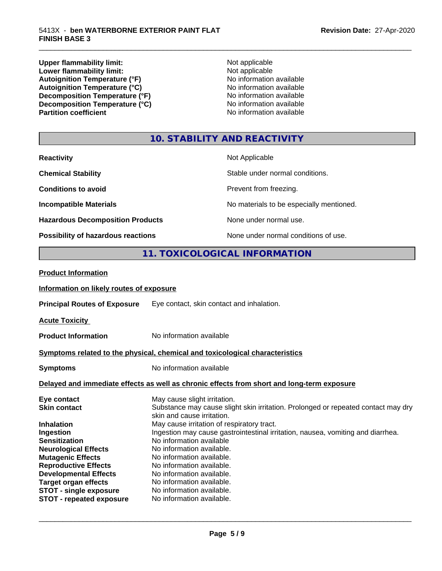**Upper flammability limit:**<br> **Lower flammability limit:**<br>
Not applicable<br>
Not applicable **Lower flammability limit:**<br> **Autoignition Temperature (°F)**<br>
Mo information available Autoignition Temperature (°F)<br>
Autoignition Temperature (°C)<br>
No information available<br>
No information available Autoignition Temperature (°C)<br>
Decomposition Temperature (°F)<br>
No information available **Decomposition Temperature (°F)**<br> **Decomposition Temperature (°C)**<br>
No information available<br>
No information available **Decomposition Temperature (°C) Partition coefficient** 

\_\_\_\_\_\_\_\_\_\_\_\_\_\_\_\_\_\_\_\_\_\_\_\_\_\_\_\_\_\_\_\_\_\_\_\_\_\_\_\_\_\_\_\_\_\_\_\_\_\_\_\_\_\_\_\_\_\_\_\_\_\_\_\_\_\_\_\_\_\_\_\_\_\_\_\_\_\_\_\_\_\_\_\_\_\_\_\_\_\_\_\_\_

## **10. STABILITY AND REACTIVITY**

| <b>Reactivity</b>                         | Not Applicable                           |
|-------------------------------------------|------------------------------------------|
| <b>Chemical Stability</b>                 | Stable under normal conditions.          |
| <b>Conditions to avoid</b>                | Prevent from freezing.                   |
| <b>Incompatible Materials</b>             | No materials to be especially mentioned. |
| <b>Hazardous Decomposition Products</b>   | None under normal use.                   |
| <b>Possibility of hazardous reactions</b> | None under normal conditions of use.     |

## **11. TOXICOLOGICAL INFORMATION**

| <b>Product Information</b>                  |                                                                                                                 |
|---------------------------------------------|-----------------------------------------------------------------------------------------------------------------|
| Information on likely routes of exposure    |                                                                                                                 |
| <b>Principal Routes of Exposure</b>         | Eye contact, skin contact and inhalation.                                                                       |
| <b>Acute Toxicity</b>                       |                                                                                                                 |
| <b>Product Information</b>                  | No information available                                                                                        |
|                                             | Symptoms related to the physical, chemical and toxicological characteristics                                    |
| No information available<br><b>Symptoms</b> |                                                                                                                 |
|                                             | Delayed and immediate effects as well as chronic effects from short and long-term exposure                      |
| Eye contact                                 | May cause slight irritation.                                                                                    |
| <b>Skin contact</b>                         | Substance may cause slight skin irritation. Prolonged or repeated contact may dry<br>skin and cause irritation. |
| <b>Inhalation</b>                           | May cause irritation of respiratory tract.                                                                      |
| Ingestion                                   | Ingestion may cause gastrointestinal irritation, nausea, vomiting and diarrhea.                                 |
| <b>Sensitization</b>                        | No information available                                                                                        |
| <b>Neurological Effects</b>                 | No information available.                                                                                       |
| <b>Mutagenic Effects</b>                    | No information available.                                                                                       |
| <b>Reproductive Effects</b>                 | No information available.                                                                                       |
| <b>Developmental Effects</b>                | No information available.                                                                                       |
| <b>Target organ effects</b>                 | No information available.                                                                                       |
| STOT - single exposure                      | No information available.                                                                                       |
| <b>STOT - repeated exposure</b>             | No information available.                                                                                       |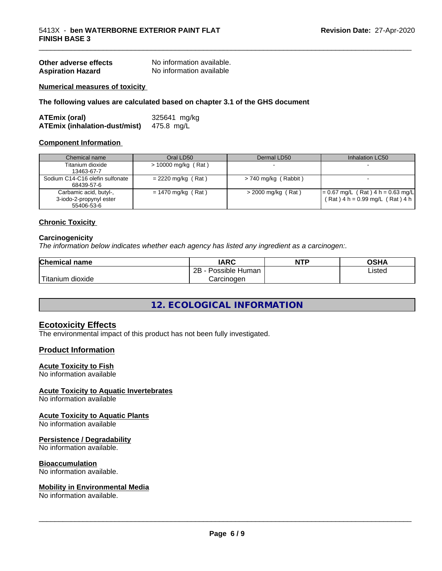| Other adverse effects    | No information available. |
|--------------------------|---------------------------|
| <b>Aspiration Hazard</b> | No information available  |

#### **Numerical measures of toxicity**

#### **The following values are calculated based on chapter 3.1 of the GHS document**

| ATEmix (oral)                        | 325641 mg/kg |
|--------------------------------------|--------------|
| <b>ATEmix (inhalation-dust/mist)</b> | 475.8 mg/L   |

#### **Component Information**

| Chemical name                                                   | Oral LD50            | Dermal LD50            | Inhalation LC50                                                            |
|-----------------------------------------------------------------|----------------------|------------------------|----------------------------------------------------------------------------|
| Titanium dioxide<br>13463-67-7                                  | > 10000 mg/kg (Rat)  |                        |                                                                            |
| Sodium C14-C16 olefin sulfonate<br>68439-57-6                   | $= 2220$ mg/kg (Rat) | $> 740$ mg/kg (Rabbit) |                                                                            |
| Carbamic acid, butyl-,<br>3-iodo-2-propynyl ester<br>55406-53-6 | $= 1470$ mg/kg (Rat) | $>$ 2000 mg/kg (Rat)   | $= 0.67$ mg/L (Rat) 4 h = 0.63 mg/L<br>$(Rat)$ 4 h = 0.99 mg/L $(Rat)$ 4 h |

\_\_\_\_\_\_\_\_\_\_\_\_\_\_\_\_\_\_\_\_\_\_\_\_\_\_\_\_\_\_\_\_\_\_\_\_\_\_\_\_\_\_\_\_\_\_\_\_\_\_\_\_\_\_\_\_\_\_\_\_\_\_\_\_\_\_\_\_\_\_\_\_\_\_\_\_\_\_\_\_\_\_\_\_\_\_\_\_\_\_\_\_\_

#### **Chronic Toxicity**

#### **Carcinogenicity**

*The information below indicateswhether each agency has listed any ingredient as a carcinogen:.*

| Chemical<br>name       | <b>IARC</b>                    | <b>NTP</b> | OSHA   |
|------------------------|--------------------------------|------------|--------|
|                        | . .<br>2B<br>Human<br>Possible |            | Listed |
| n dioxide<br>l itanıum | Carcinoɑen                     |            |        |

## **12. ECOLOGICAL INFORMATION**

#### **Ecotoxicity Effects**

The environmental impact of this product has not been fully investigated.

#### **Product Information**

#### **Acute Toxicity to Fish**

No information available

#### **Acute Toxicity to Aquatic Invertebrates**

No information available

### **Acute Toxicity to Aquatic Plants**

No information available

#### **Persistence / Degradability**

No information available.

#### **Bioaccumulation**

No information available.

#### **Mobility in Environmental Media**

No information available.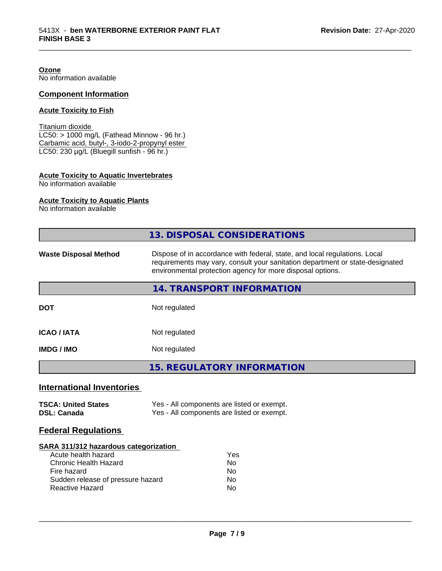**Ozone**

No information available

## **Component Information**

#### **Acute Toxicity to Fish**

Titanium dioxide  $LC50: > 1000$  mg/L (Fathead Minnow - 96 hr.) Carbamic acid, butyl-, 3-iodo-2-propynyl ester LC50: 230 µg/L (Bluegill sunfish - 96 hr.)

#### **Acute Toxicity to Aquatic Invertebrates**

No information available

#### **Acute Toxicity to Aquatic Plants**

No information available

|                                                                                                                                                                     | <b>13. DISPOSAL CONSIDERATIONS</b>                                                                                                                                                                                        |  |  |
|---------------------------------------------------------------------------------------------------------------------------------------------------------------------|---------------------------------------------------------------------------------------------------------------------------------------------------------------------------------------------------------------------------|--|--|
| <b>Waste Disposal Method</b>                                                                                                                                        | Dispose of in accordance with federal, state, and local regulations. Local<br>requirements may vary, consult your sanitation department or state-designated<br>environmental protection agency for more disposal options. |  |  |
|                                                                                                                                                                     | 14. TRANSPORT INFORMATION                                                                                                                                                                                                 |  |  |
| <b>DOT</b>                                                                                                                                                          | Not regulated                                                                                                                                                                                                             |  |  |
| <b>ICAO/IATA</b>                                                                                                                                                    | Not regulated                                                                                                                                                                                                             |  |  |
| <b>IMDG / IMO</b>                                                                                                                                                   | Not regulated                                                                                                                                                                                                             |  |  |
|                                                                                                                                                                     | <b>15. REGULATORY INFORMATION</b>                                                                                                                                                                                         |  |  |
| <b>International Inventories</b>                                                                                                                                    |                                                                                                                                                                                                                           |  |  |
| <b>TSCA: United States</b><br><b>DSL: Canada</b>                                                                                                                    | Yes - All components are listed or exempt.<br>Yes - All components are listed or exempt.                                                                                                                                  |  |  |
| <b>Federal Regulations</b>                                                                                                                                          |                                                                                                                                                                                                                           |  |  |
| SARA 311/312 hazardous categorization<br>Acute health hazard<br>Chronic Health Hazard<br>Fire hazard<br>Sudden release of pressure hazard<br><b>Reactive Hazard</b> | Yes<br>No<br>No<br>No<br>No                                                                                                                                                                                               |  |  |
|                                                                                                                                                                     |                                                                                                                                                                                                                           |  |  |

\_\_\_\_\_\_\_\_\_\_\_\_\_\_\_\_\_\_\_\_\_\_\_\_\_\_\_\_\_\_\_\_\_\_\_\_\_\_\_\_\_\_\_\_\_\_\_\_\_\_\_\_\_\_\_\_\_\_\_\_\_\_\_\_\_\_\_\_\_\_\_\_\_\_\_\_\_\_\_\_\_\_\_\_\_\_\_\_\_\_\_\_\_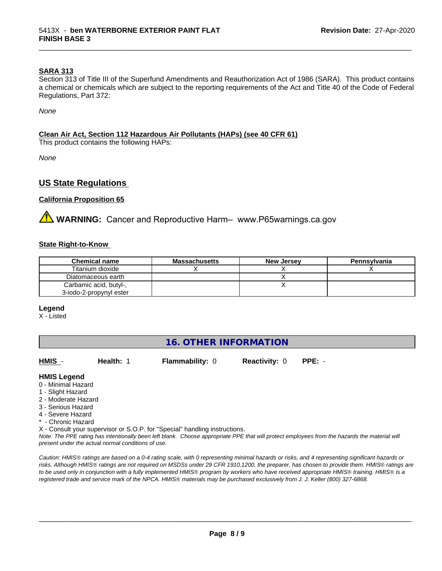#### **SARA 313**

Section 313 of Title III of the Superfund Amendments and Reauthorization Act of 1986 (SARA). This product contains a chemical or chemicals which are subject to the reporting requirements of the Act and Title 40 of the Code of Federal Regulations, Part 372:

\_\_\_\_\_\_\_\_\_\_\_\_\_\_\_\_\_\_\_\_\_\_\_\_\_\_\_\_\_\_\_\_\_\_\_\_\_\_\_\_\_\_\_\_\_\_\_\_\_\_\_\_\_\_\_\_\_\_\_\_\_\_\_\_\_\_\_\_\_\_\_\_\_\_\_\_\_\_\_\_\_\_\_\_\_\_\_\_\_\_\_\_\_

*None*

#### **Clean Air Act,Section 112 Hazardous Air Pollutants (HAPs) (see 40 CFR 61)**

This product contains the following HAPs:

*None*

#### **US State Regulations**

#### **California Proposition 65**

**A** WARNING: Cancer and Reproductive Harm– www.P65warnings.ca.gov

#### **State Right-to-Know**

| <b>Chemical name</b>    | <b>Massachusetts</b> | <b>New Jersey</b> | Pennsylvania |
|-------------------------|----------------------|-------------------|--------------|
| Titanium dioxide        |                      |                   |              |
| Diatomaceous earth      |                      |                   |              |
| Carbamic acid, butyl-,  |                      |                   |              |
| 3-iodo-2-propynyl ester |                      |                   |              |

#### **Legend**

X - Listed

| <b>16. OTHER INFORMATION</b> |
|------------------------------|
|------------------------------|

| HMIS -              | Health: 1 | <b>Flammability: 0</b>                                                     | <b>Reactivity: 0</b> | $PPE: -$                                                                                                                                |
|---------------------|-----------|----------------------------------------------------------------------------|----------------------|-----------------------------------------------------------------------------------------------------------------------------------------|
| <b>HMIS Legend</b>  |           |                                                                            |                      |                                                                                                                                         |
| 0 - Minimal Hazard  |           |                                                                            |                      |                                                                                                                                         |
| 1 - Slight Hazard   |           |                                                                            |                      |                                                                                                                                         |
| 2 - Moderate Hazard |           |                                                                            |                      |                                                                                                                                         |
| 3 - Serious Hazard  |           |                                                                            |                      |                                                                                                                                         |
| 4 - Severe Hazard   |           |                                                                            |                      |                                                                                                                                         |
| * - Chronic Hazard  |           |                                                                            |                      |                                                                                                                                         |
|                     |           | X - Consult your supervisor or S.O.P. for "Special" handling instructions. |                      |                                                                                                                                         |
|                     |           |                                                                            |                      | Note: The PPF rating has intentionally heen left hlank. Choose annropriate PPF that will protect employees from the hazards the materia |

*Note: The PPE rating has intentionally been left blank. Choose appropriate PPE that will protect employees from the hazards the material will present under the actual normal conditions of use.*

*Caution: HMISÒ ratings are based on a 0-4 rating scale, with 0 representing minimal hazards or risks, and 4 representing significant hazards or risks. Although HMISÒ ratings are not required on MSDSs under 29 CFR 1910.1200, the preparer, has chosen to provide them. HMISÒ ratings are to be used only in conjunction with a fully implemented HMISÒ program by workers who have received appropriate HMISÒ training. HMISÒ is a registered trade and service mark of the NPCA. HMISÒ materials may be purchased exclusively from J. J. Keller (800) 327-6868.*